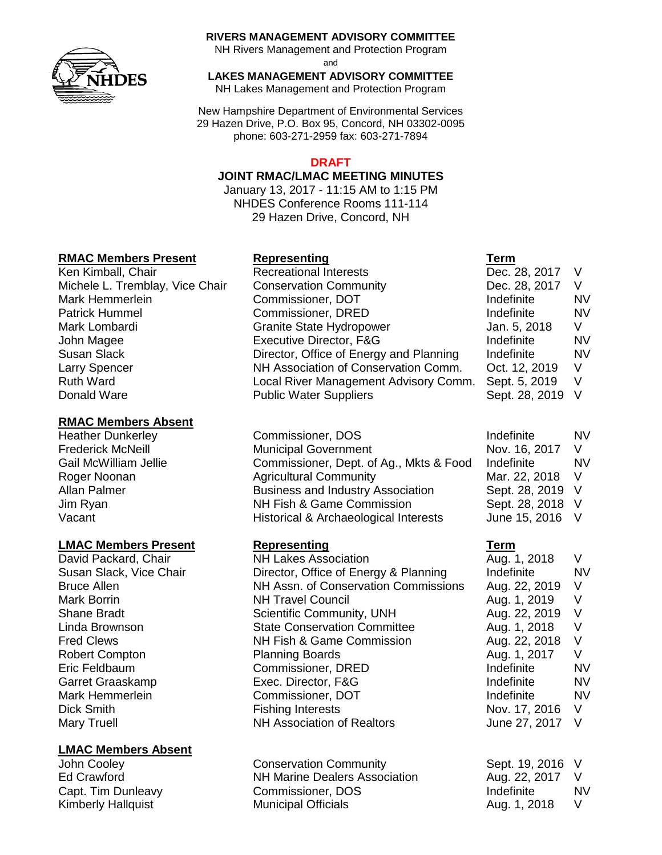

#### **RIVERS MANAGEMENT ADVISORY COMMITTEE**

NH Rivers Management and Protection Program

and

**LAKES MANAGEMENT ADVISORY COMMITTEE**

NH Lakes Management and Protection Program

New Hampshire Department of Environmental Services 29 Hazen Drive, P.O. Box 95, Concord, NH 03302-0095 phone: 603-271-2959 fax: 603-271-7894

### **DRAFT**

#### **JOINT RMAC/LMAC MEETING MINUTES**

January 13, 2017 - 11:15 AM to 1:15 PM NHDES Conference Rooms 111-114 29 Hazen Drive, Concord, NH

## **RMAC Members Present Representing Term**

Ken Kimball, Chair **Recreational Interests** Michele L. Tremblay, Vice Chair Conservation Community Mark Hemmerlein **Commissioner**, DOT Patrick Hummel Commissioner, DRED Mark Lombardi Granite State Hydropower John Magee **Executive Director, F&G** Donald Ware **Public Water Suppliers** 

## **RMAC Members Absent**

Heather Dunkerley **Commissioner, DOS** 

### **LMAC Members Present Representing Term**

### **LMAC Members Absent**

Susan Slack **Director, Office of Energy and Planning** Indefinition Larry Spencer NH Association of Conservation Comm. Ruth Ward **Local River Management Advisory Comm.** Comm.

Frederick McNeill **Exercise State Municipal Government** Gail McWilliam Jellie Commissioner, Dept. of Ag., Mkts & Food Roger Noonan **Agricultural Community** Mar. 2018 Mar. 22, 2018 Mar. 22, 2018 Mar. 22, 2018 Mar. 22, 2018 Mar. 22, 2018 V Allan Palmer **Business and Industry Association** Jim Ryan NH Fish & Game Commission Vacant Vacant Historical & Archaeological Interests

David Packard, Chair **NH Lakes Association** Aug. 1, 2018 V Susan Slack, Vice Chair **Director, Office of Energy & Planning** Indefinite MV Bruce Allen **NH Assn. of Conservation Commissions** Aug. 22, 2019 V Mark Borrin **NH Travel Council Mark Borrin** Aug. 1, 2019 V Shane Bradt **Scientific Community, UNH** Aug. 22, 2019 V Linda Brownson **State Conservation Committee** Aug. 1, 2018 V Fred Clews NH Fish & Game Commission Aug. 22, 2018 V Robert Compton **Planning Boards** Aug. 1, 2017 V Eric Feldbaum Commissioner, DRED Indefinite NV Garret Graaskamp **Exec.** Director, F&G **Indefinite** NV Mark Hemmerlein **Commissioner, DOT** and the Indefinite and NV Dick Smith **Fishing Interests** Nov. 17, 2016 V Mary Truell **NH Association of Realtors** June 27, 2017 V

John Cooley Conservation Community Sept. 19, 2016 V Ed Crawford NH Marine Dealers Association Aug. 22, 2017 V Capt. Tim Dunleavy Commissioner, DOS Indefinite NV Kimberly Hallquist **Municipal Officials** Aug. 1, 2018 V

| Dec. 28, 2017  | V  |
|----------------|----|
| Dec. 28, 2017  | V  |
| Indefinite     | NV |
| Indefinite     | NV |
| Jan. 5, 2018   | V  |
| Indefinite     | NV |
| Indefinite     | NV |
| Oct. 12, 2019  | V  |
| Sept. 5, 2019  | V  |
| Sept. 28, 2019 | V  |
|                |    |

| Indefinite     | NV |
|----------------|----|
| Nov. 16, 2017  | V  |
| Indefinite     | NV |
| Mar. 22, 2018  | V  |
| Sept. 28, 2019 | V  |
| Sept. 28, 2018 | V  |
| June 15, 2016  | V  |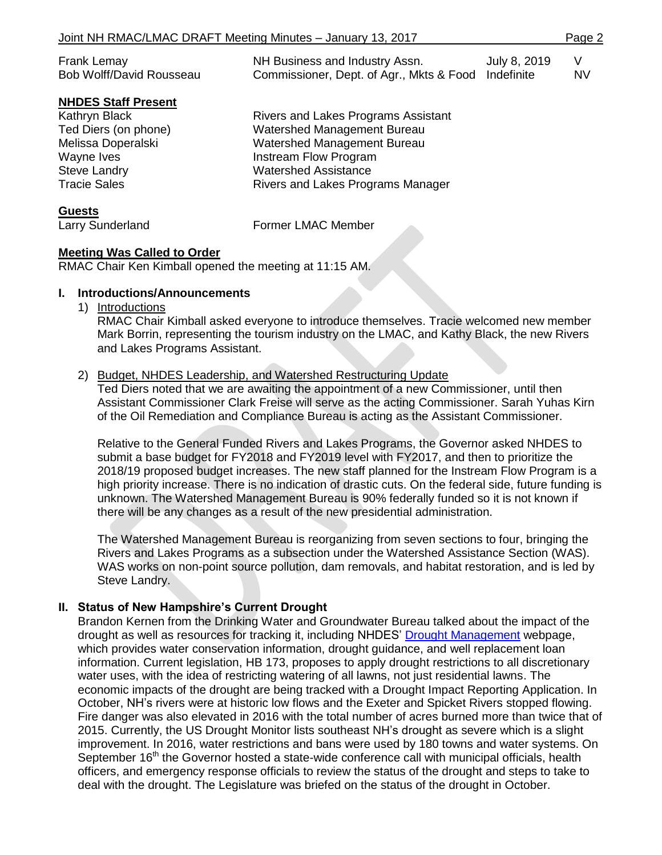| Joint NH RMAC/LMAC DRAFT Meeting Minutes - January 13, 2017 |  | Page 2 |
|-------------------------------------------------------------|--|--------|
|-------------------------------------------------------------|--|--------|

| Frank Lemay              | NH Business and Industry Assn.                      | July 8, 2019 |     |
|--------------------------|-----------------------------------------------------|--------------|-----|
| Bob Wolff/David Rousseau | Commissioner, Dept. of Agr., Mkts & Food Indefinite |              | NV. |

#### **NHDES Staff Present**

Kathryn Black **Rivers and Lakes Programs Assistant** 

**Guests**

Ted Diers (on phone) Watershed Management Bureau Melissa Doperalski Watershed Management Bureau Wayne Ives **Instream Flow Program** Steve Landry **National Steve Landry** Watershed Assistance Tracie Sales **Rivers** and Lakes Programs Manager

Larry Sunderland Former LMAC Member

### **Meeting Was Called to Order**

RMAC Chair Ken Kimball opened the meeting at 11:15 AM.

## **I. Introductions/Announcements**

1) Introductions

RMAC Chair Kimball asked everyone to introduce themselves. Tracie welcomed new member Mark Borrin, representing the tourism industry on the LMAC, and Kathy Black, the new Rivers and Lakes Programs Assistant.

## 2) Budget, NHDES Leadership, and Watershed Restructuring Update

Ted Diers noted that we are awaiting the appointment of a new Commissioner, until then Assistant Commissioner Clark Freise will serve as the acting Commissioner. Sarah Yuhas Kirn of the Oil Remediation and Compliance Bureau is acting as the Assistant Commissioner.

Relative to the General Funded Rivers and Lakes Programs, the Governor asked NHDES to submit a base budget for FY2018 and FY2019 level with FY2017, and then to prioritize the 2018/19 proposed budget increases. The new staff planned for the Instream Flow Program is a high priority increase. There is no indication of drastic cuts. On the federal side, future funding is unknown. The Watershed Management Bureau is 90% federally funded so it is not known if there will be any changes as a result of the new presidential administration.

The Watershed Management Bureau is reorganizing from seven sections to four, bringing the Rivers and Lakes Programs as a subsection under the Watershed Assistance Section (WAS). WAS works on non-point source pollution, dam removals, and habitat restoration, and is led by Steve Landry.

### **II. Status of New Hampshire's Current Drought**

Brandon Kernen from the Drinking Water and Groundwater Bureau talked about the impact of the drought as well as resources for tracking it, including NHDES' [Drought Management](http://www.des.nh.gov/organization/divisions/water/dam/drought/index.htm) webpage, which provides water conservation information, drought guidance, and well replacement loan information. Current legislation, HB 173, proposes to apply drought restrictions to all discretionary water uses, with the idea of restricting watering of all lawns, not just residential lawns. The economic impacts of the drought are being tracked with a Drought Impact Reporting Application. In October, NH's rivers were at historic low flows and the Exeter and Spicket Rivers stopped flowing. Fire danger was also elevated in 2016 with the total number of acres burned more than twice that of 2015. Currently, the [US Drought Monitor](http://droughtmonitor.unl.edu/Home.aspx) lists southeast NH's drought as severe which is a slight improvement. In 2016, water restrictions and bans were used by 180 towns and water systems. On September 16<sup>th</sup> the Governor hosted a state-wide conference call with municipal officials, health officers, and emergency response officials to review the status of the drought and steps to take to deal with the drought. The Legislature was briefed on the status of the drought in October.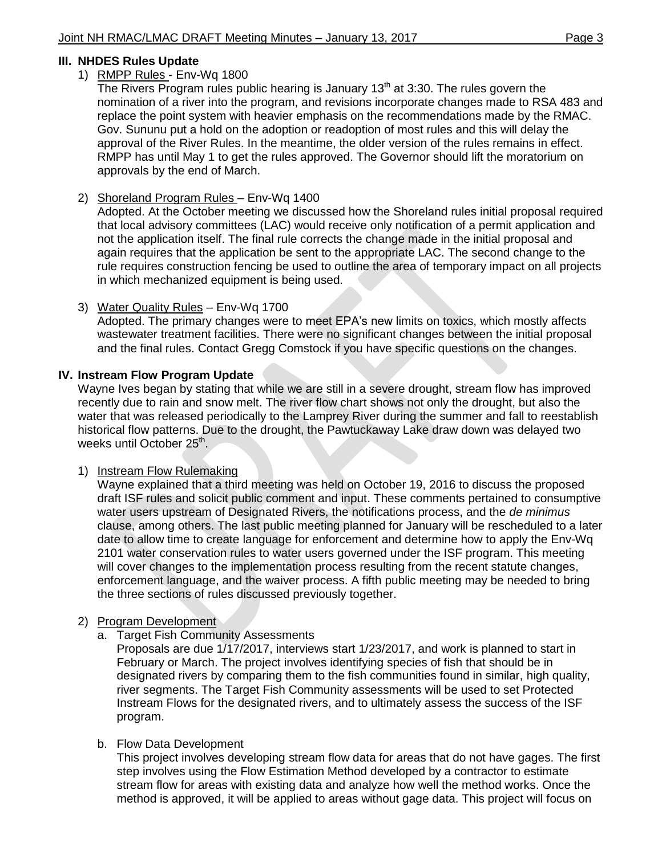### **III. NHDES Rules Update**

#### 1) RMPP Rules - Env-Wq 1800

The Rivers Program rules public hearing is January  $13<sup>th</sup>$  at 3:30. The rules govern the nomination of a river into the program, and revisions incorporate changes made to RSA 483 and replace the point system with heavier emphasis on the recommendations made by the RMAC. Gov. Sununu put a hold on the adoption or readoption of most rules and this will delay the approval of the River Rules. In the meantime, the older version of the rules remains in effect. RMPP has until May 1 to get the rules approved. The Governor should lift the moratorium on approvals by the end of March.

### 2) Shoreland Program Rules – Env-Wq 1400

Adopted. At the October meeting we discussed how the Shoreland rules initial proposal required that local advisory committees (LAC) would receive only notification of a permit application and not the application itself. The final rule corrects the change made in the initial proposal and again requires that the application be sent to the appropriate LAC. The second change to the rule requires construction fencing be used to outline the area of temporary impact on all projects in which mechanized equipment is being used.

### 3) Water Quality Rules – Env-Wq 1700

Adopted. The primary changes were to meet EPA's new limits on toxics, which mostly affects wastewater treatment facilities. There were no significant changes between the initial proposal and the final rules. Contact Gregg Comstock if you have specific questions on the changes.

#### **IV. Instream Flow Program Update**

Wayne Ives began by stating that while we are still in a severe drought, stream flow has improved recently due to rain and snow melt. The river flow chart shows not only the drought, but also the water that was released periodically to the Lamprey River during the summer and fall to reestablish historical flow patterns. Due to the drought, the Pawtuckaway Lake draw down was delayed two weeks until October 25<sup>th</sup>.

### 1) Instream Flow Rulemaking

Wayne explained that a third meeting was held on October 19, 2016 to discuss the proposed draft ISF rules and solicit public comment and input. These comments pertained to consumptive water users upstream of Designated Rivers, the notifications process, and the *de minimus* clause, among others. The last public meeting planned for January will be rescheduled to a later date to allow time to create language for enforcement and determine how to apply the Env-Wq 2101 water conservation rules to water users governed under the ISF program. This meeting will cover changes to the implementation process resulting from the recent statute changes, enforcement language, and the waiver process. A fifth public meeting may be needed to bring the three sections of rules discussed previously together.

### 2) Program Development

a. Target Fish Community Assessments

Proposals are due 1/17/2017, interviews start 1/23/2017, and work is planned to start in February or March. The project involves identifying species of fish that should be in designated rivers by comparing them to the fish communities found in similar, high quality, river segments. The Target Fish Community assessments will be used to set Protected Instream Flows for the designated rivers, and to ultimately assess the success of the ISF program.

### b. Flow Data Development

This project involves developing stream flow data for areas that do not have gages. The first step involves using the Flow Estimation Method developed by a contractor to estimate stream flow for areas with existing data and analyze how well the method works. Once the method is approved, it will be applied to areas without gage data. This project will focus on